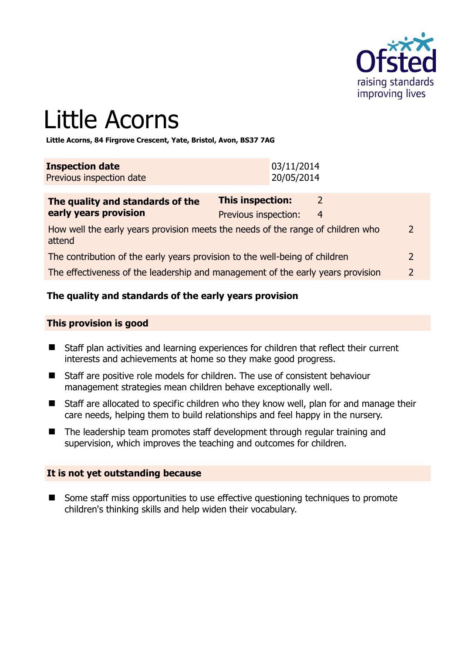

# Little Acorns

**Little Acorns, 84 Firgrove Crescent, Yate, Bristol, Avon, BS37 7AG** 

| <b>Inspection date</b>   | 03/11/2014 |
|--------------------------|------------|
| Previous inspection date | 20/05/2014 |

| The quality and standards of the                                                          | This inspection:     |   |               |
|-------------------------------------------------------------------------------------------|----------------------|---|---------------|
| early years provision                                                                     | Previous inspection: | 4 |               |
| How well the early years provision meets the needs of the range of children who<br>attend |                      |   | $\mathcal{L}$ |
| The contribution of the early years provision to the well-being of children               |                      |   | $\mathcal{L}$ |

The effectiveness of the leadership and management of the early years provision 2

# **The quality and standards of the early years provision**

#### **This provision is good**

- Staff plan activities and learning experiences for children that reflect their current interests and achievements at home so they make good progress.
- Staff are positive role models for children. The use of consistent behaviour management strategies mean children behave exceptionally well.
- Staff are allocated to specific children who they know well, plan for and manage their care needs, helping them to build relationships and feel happy in the nursery.
- The leadership team promotes staff development through regular training and supervision, which improves the teaching and outcomes for children.

#### **It is not yet outstanding because**

■ Some staff miss opportunities to use effective questioning techniques to promote children's thinking skills and help widen their vocabulary.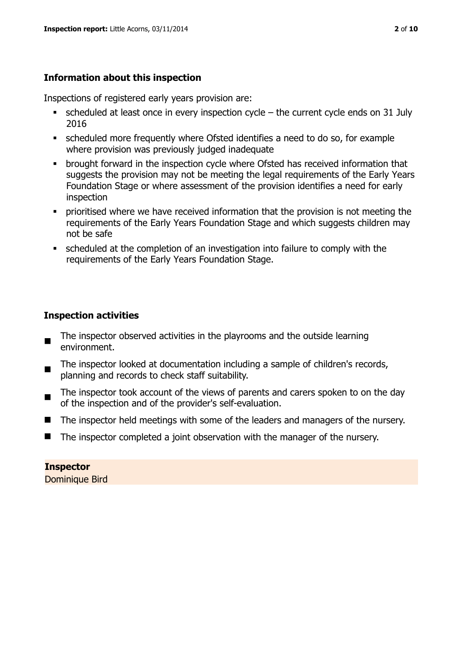# **Information about this inspection**

Inspections of registered early years provision are:

- $\bullet$  scheduled at least once in every inspection cycle the current cycle ends on 31 July 2016
- scheduled more frequently where Ofsted identifies a need to do so, for example where provision was previously judged inadequate
- **•** brought forward in the inspection cycle where Ofsted has received information that suggests the provision may not be meeting the legal requirements of the Early Years Foundation Stage or where assessment of the provision identifies a need for early inspection
- **•** prioritised where we have received information that the provision is not meeting the requirements of the Early Years Foundation Stage and which suggests children may not be safe
- scheduled at the completion of an investigation into failure to comply with the requirements of the Early Years Foundation Stage.

# **Inspection activities**

- The inspector observed activities in the playrooms and the outside learning environment.
- The inspector looked at documentation including a sample of children's records, planning and records to check staff suitability.
- The inspector took account of the views of parents and carers spoken to on the day of the inspection and of the provider's self-evaluation.
- The inspector held meetings with some of the leaders and managers of the nursery.
- The inspector completed a joint observation with the manager of the nursery.

# **Inspector**

Dominique Bird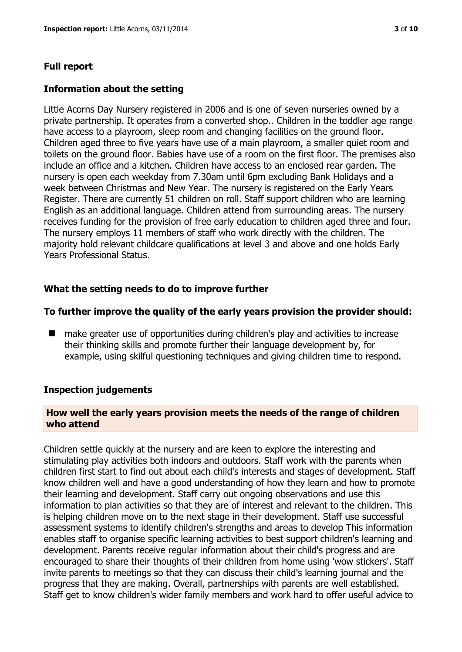#### **Full report**

#### **Information about the setting**

Little Acorns Day Nursery registered in 2006 and is one of seven nurseries owned by a private partnership. It operates from a converted shop.. Children in the toddler age range have access to a playroom, sleep room and changing facilities on the ground floor. Children aged three to five years have use of a main playroom, a smaller quiet room and toilets on the ground floor. Babies have use of a room on the first floor. The premises also include an office and a kitchen. Children have access to an enclosed rear garden. The nursery is open each weekday from 7.30am until 6pm excluding Bank Holidays and a week between Christmas and New Year. The nursery is registered on the Early Years Register. There are currently 51 children on roll. Staff support children who are learning English as an additional language. Children attend from surrounding areas. The nursery receives funding for the provision of free early education to children aged three and four. The nursery employs 11 members of staff who work directly with the children. The majority hold relevant childcare qualifications at level 3 and above and one holds Early Years Professional Status.

#### **What the setting needs to do to improve further**

#### **To further improve the quality of the early years provision the provider should:**

■ make greater use of opportunities during children's play and activities to increase their thinking skills and promote further their language development by, for example, using skilful questioning techniques and giving children time to respond.

#### **Inspection judgements**

#### **How well the early years provision meets the needs of the range of children who attend**

Children settle quickly at the nursery and are keen to explore the interesting and stimulating play activities both indoors and outdoors. Staff work with the parents when children first start to find out about each child's interests and stages of development. Staff know children well and have a good understanding of how they learn and how to promote their learning and development. Staff carry out ongoing observations and use this information to plan activities so that they are of interest and relevant to the children. This is helping children move on to the next stage in their development. Staff use successful assessment systems to identify children's strengths and areas to develop This information enables staff to organise specific learning activities to best support children's learning and development. Parents receive regular information about their child's progress and are encouraged to share their thoughts of their children from home using 'wow stickers'. Staff invite parents to meetings so that they can discuss their child's learning journal and the progress that they are making. Overall, partnerships with parents are well established. Staff get to know children's wider family members and work hard to offer useful advice to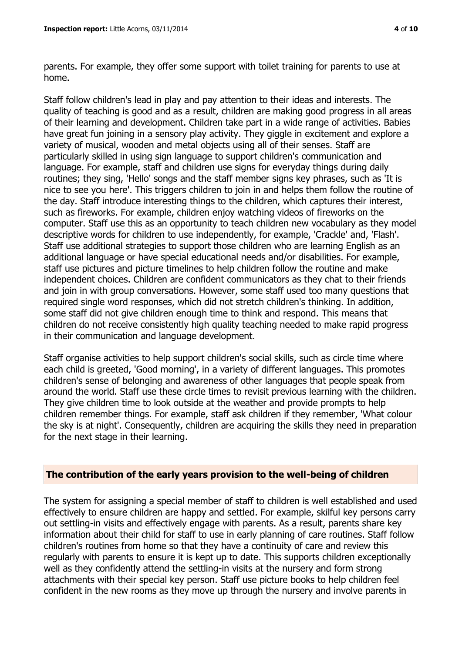parents. For example, they offer some support with toilet training for parents to use at home.

Staff follow children's lead in play and pay attention to their ideas and interests. The quality of teaching is good and as a result, children are making good progress in all areas of their learning and development. Children take part in a wide range of activities. Babies have great fun joining in a sensory play activity. They giggle in excitement and explore a variety of musical, wooden and metal objects using all of their senses. Staff are particularly skilled in using sign language to support children's communication and language. For example, staff and children use signs for everyday things during daily routines; they sing, 'Hello' songs and the staff member signs key phrases, such as 'It is nice to see you here'. This triggers children to join in and helps them follow the routine of the day. Staff introduce interesting things to the children, which captures their interest, such as fireworks. For example, children enjoy watching videos of fireworks on the computer. Staff use this as an opportunity to teach children new vocabulary as they model descriptive words for children to use independently, for example, 'Crackle' and, 'Flash'. Staff use additional strategies to support those children who are learning English as an additional language or have special educational needs and/or disabilities. For example, staff use pictures and picture timelines to help children follow the routine and make independent choices. Children are confident communicators as they chat to their friends and join in with group conversations. However, some staff used too many questions that required single word responses, which did not stretch children's thinking. In addition, some staff did not give children enough time to think and respond. This means that children do not receive consistently high quality teaching needed to make rapid progress in their communication and language development.

Staff organise activities to help support children's social skills, such as circle time where each child is greeted, 'Good morning', in a variety of different languages. This promotes children's sense of belonging and awareness of other languages that people speak from around the world. Staff use these circle times to revisit previous learning with the children. They give children time to look outside at the weather and provide prompts to help children remember things. For example, staff ask children if they remember, 'What colour the sky is at night'. Consequently, children are acquiring the skills they need in preparation for the next stage in their learning.

#### **The contribution of the early years provision to the well-being of children**

The system for assigning a special member of staff to children is well established and used effectively to ensure children are happy and settled. For example, skilful key persons carry out settling-in visits and effectively engage with parents. As a result, parents share key information about their child for staff to use in early planning of care routines. Staff follow children's routines from home so that they have a continuity of care and review this regularly with parents to ensure it is kept up to date. This supports children exceptionally well as they confidently attend the settling-in visits at the nursery and form strong attachments with their special key person. Staff use picture books to help children feel confident in the new rooms as they move up through the nursery and involve parents in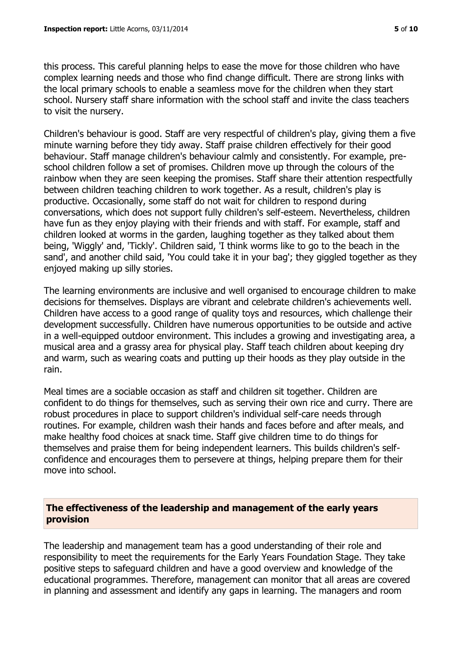this process. This careful planning helps to ease the move for those children who have complex learning needs and those who find change difficult. There are strong links with the local primary schools to enable a seamless move for the children when they start school. Nursery staff share information with the school staff and invite the class teachers to visit the nursery.

Children's behaviour is good. Staff are very respectful of children's play, giving them a five minute warning before they tidy away. Staff praise children effectively for their good behaviour. Staff manage children's behaviour calmly and consistently. For example, preschool children follow a set of promises. Children move up through the colours of the rainbow when they are seen keeping the promises. Staff share their attention respectfully between children teaching children to work together. As a result, children's play is productive. Occasionally, some staff do not wait for children to respond during conversations, which does not support fully children's self-esteem. Nevertheless, children have fun as they enjoy playing with their friends and with staff. For example, staff and children looked at worms in the garden, laughing together as they talked about them being, 'Wiggly' and, 'Tickly'. Children said, 'I think worms like to go to the beach in the sand', and another child said, 'You could take it in your bag'; they giggled together as they enjoyed making up silly stories.

The learning environments are inclusive and well organised to encourage children to make decisions for themselves. Displays are vibrant and celebrate children's achievements well. Children have access to a good range of quality toys and resources, which challenge their development successfully. Children have numerous opportunities to be outside and active in a well-equipped outdoor environment. This includes a growing and investigating area, a musical area and a grassy area for physical play. Staff teach children about keeping dry and warm, such as wearing coats and putting up their hoods as they play outside in the rain.

Meal times are a sociable occasion as staff and children sit together. Children are confident to do things for themselves, such as serving their own rice and curry. There are robust procedures in place to support children's individual self-care needs through routines. For example, children wash their hands and faces before and after meals, and make healthy food choices at snack time. Staff give children time to do things for themselves and praise them for being independent learners. This builds children's selfconfidence and encourages them to persevere at things, helping prepare them for their move into school.

#### **The effectiveness of the leadership and management of the early years provision**

The leadership and management team has a good understanding of their role and responsibility to meet the requirements for the Early Years Foundation Stage. They take positive steps to safeguard children and have a good overview and knowledge of the educational programmes. Therefore, management can monitor that all areas are covered in planning and assessment and identify any gaps in learning. The managers and room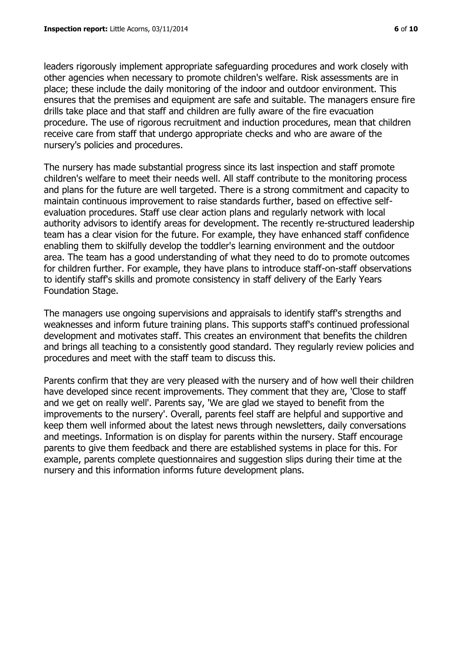leaders rigorously implement appropriate safeguarding procedures and work closely with other agencies when necessary to promote children's welfare. Risk assessments are in place; these include the daily monitoring of the indoor and outdoor environment. This ensures that the premises and equipment are safe and suitable. The managers ensure fire drills take place and that staff and children are fully aware of the fire evacuation procedure. The use of rigorous recruitment and induction procedures, mean that children receive care from staff that undergo appropriate checks and who are aware of the nursery's policies and procedures.

The nursery has made substantial progress since its last inspection and staff promote children's welfare to meet their needs well. All staff contribute to the monitoring process and plans for the future are well targeted. There is a strong commitment and capacity to maintain continuous improvement to raise standards further, based on effective selfevaluation procedures. Staff use clear action plans and regularly network with local authority advisors to identify areas for development. The recently re-structured leadership team has a clear vision for the future. For example, they have enhanced staff confidence enabling them to skilfully develop the toddler's learning environment and the outdoor area. The team has a good understanding of what they need to do to promote outcomes for children further. For example, they have plans to introduce staff-on-staff observations to identify staff's skills and promote consistency in staff delivery of the Early Years Foundation Stage.

The managers use ongoing supervisions and appraisals to identify staff's strengths and weaknesses and inform future training plans. This supports staff's continued professional development and motivates staff. This creates an environment that benefits the children and brings all teaching to a consistently good standard. They regularly review policies and procedures and meet with the staff team to discuss this.

Parents confirm that they are very pleased with the nursery and of how well their children have developed since recent improvements. They comment that they are, 'Close to staff and we get on really well'. Parents say, 'We are glad we stayed to benefit from the improvements to the nursery'. Overall, parents feel staff are helpful and supportive and keep them well informed about the latest news through newsletters, daily conversations and meetings. Information is on display for parents within the nursery. Staff encourage parents to give them feedback and there are established systems in place for this. For example, parents complete questionnaires and suggestion slips during their time at the nursery and this information informs future development plans.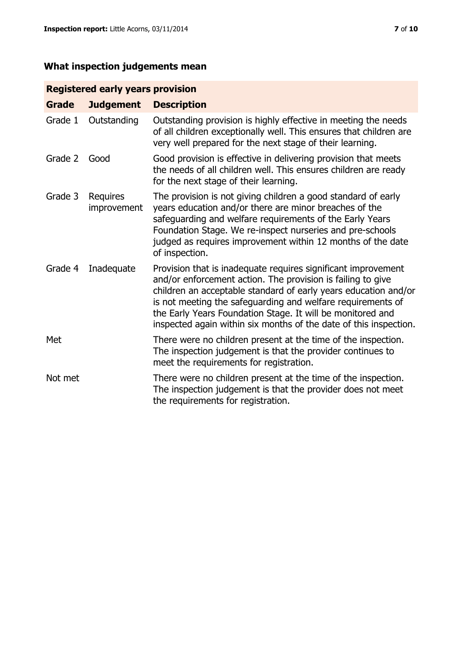# **What inspection judgements mean**

# **Registered early years provision**

| <b>Grade</b> | <b>Judgement</b>        | <b>Description</b>                                                                                                                                                                                                                                                                                                                                                                                |
|--------------|-------------------------|---------------------------------------------------------------------------------------------------------------------------------------------------------------------------------------------------------------------------------------------------------------------------------------------------------------------------------------------------------------------------------------------------|
| Grade 1      | Outstanding             | Outstanding provision is highly effective in meeting the needs<br>of all children exceptionally well. This ensures that children are<br>very well prepared for the next stage of their learning.                                                                                                                                                                                                  |
| Grade 2      | Good                    | Good provision is effective in delivering provision that meets<br>the needs of all children well. This ensures children are ready<br>for the next stage of their learning.                                                                                                                                                                                                                        |
| Grade 3      | Requires<br>improvement | The provision is not giving children a good standard of early<br>years education and/or there are minor breaches of the<br>safeguarding and welfare requirements of the Early Years<br>Foundation Stage. We re-inspect nurseries and pre-schools<br>judged as requires improvement within 12 months of the date<br>of inspection.                                                                 |
| Grade 4      | Inadequate              | Provision that is inadequate requires significant improvement<br>and/or enforcement action. The provision is failing to give<br>children an acceptable standard of early years education and/or<br>is not meeting the safeguarding and welfare requirements of<br>the Early Years Foundation Stage. It will be monitored and<br>inspected again within six months of the date of this inspection. |
| Met          |                         | There were no children present at the time of the inspection.<br>The inspection judgement is that the provider continues to<br>meet the requirements for registration.                                                                                                                                                                                                                            |
| Not met      |                         | There were no children present at the time of the inspection.<br>The inspection judgement is that the provider does not meet<br>the requirements for registration.                                                                                                                                                                                                                                |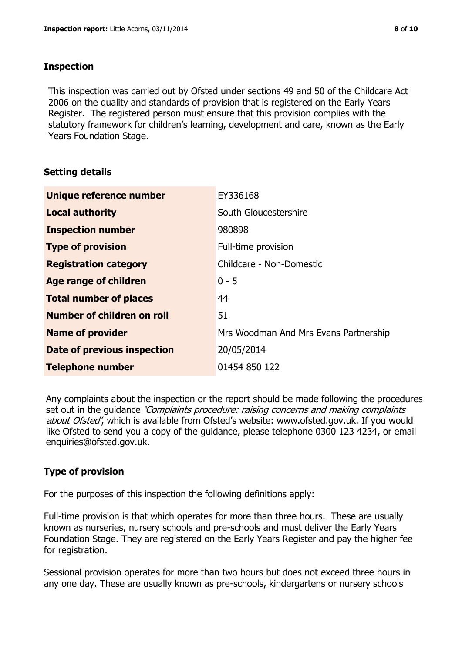#### **Inspection**

This inspection was carried out by Ofsted under sections 49 and 50 of the Childcare Act 2006 on the quality and standards of provision that is registered on the Early Years Register. The registered person must ensure that this provision complies with the statutory framework for children's learning, development and care, known as the Early Years Foundation Stage.

# **Setting details**

| Unique reference number            | EY336168                              |
|------------------------------------|---------------------------------------|
| <b>Local authority</b>             | South Gloucestershire                 |
| <b>Inspection number</b>           | 980898                                |
| <b>Type of provision</b>           | Full-time provision                   |
| <b>Registration category</b>       | Childcare - Non-Domestic              |
| Age range of children              | $0 - 5$                               |
| <b>Total number of places</b>      | 44                                    |
| Number of children on roll         | 51                                    |
| <b>Name of provider</b>            | Mrs Woodman And Mrs Evans Partnership |
| <b>Date of previous inspection</b> | 20/05/2014                            |
| <b>Telephone number</b>            | 01454 850 122                         |

Any complaints about the inspection or the report should be made following the procedures set out in the guidance *'Complaints procedure: raising concerns and making complaints* about Ofsted', which is available from Ofsted's website: www.ofsted.gov.uk. If you would like Ofsted to send you a copy of the guidance, please telephone 0300 123 4234, or email enquiries@ofsted.gov.uk.

# **Type of provision**

For the purposes of this inspection the following definitions apply:

Full-time provision is that which operates for more than three hours. These are usually known as nurseries, nursery schools and pre-schools and must deliver the Early Years Foundation Stage. They are registered on the Early Years Register and pay the higher fee for registration.

Sessional provision operates for more than two hours but does not exceed three hours in any one day. These are usually known as pre-schools, kindergartens or nursery schools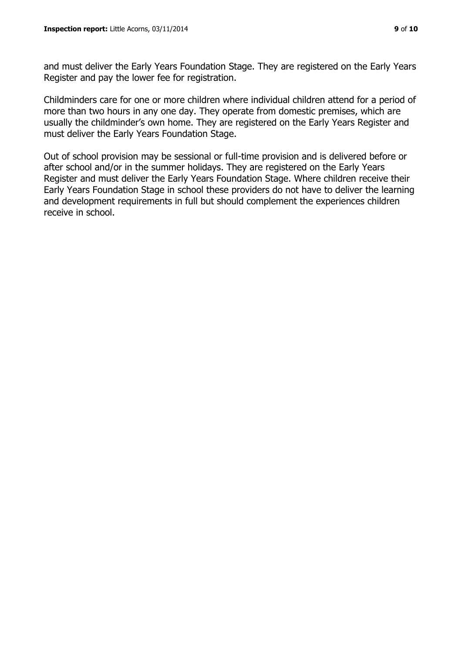and must deliver the Early Years Foundation Stage. They are registered on the Early Years Register and pay the lower fee for registration.

Childminders care for one or more children where individual children attend for a period of more than two hours in any one day. They operate from domestic premises, which are usually the childminder's own home. They are registered on the Early Years Register and must deliver the Early Years Foundation Stage.

Out of school provision may be sessional or full-time provision and is delivered before or after school and/or in the summer holidays. They are registered on the Early Years Register and must deliver the Early Years Foundation Stage. Where children receive their Early Years Foundation Stage in school these providers do not have to deliver the learning and development requirements in full but should complement the experiences children receive in school.